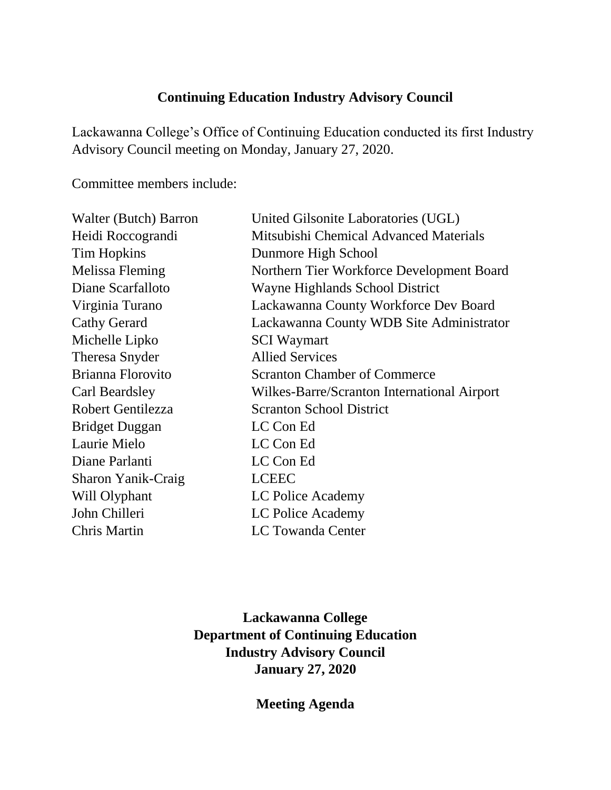## **Continuing Education Industry Advisory Council**

Lackawanna College's Office of Continuing Education conducted its first Industry Advisory Council meeting on Monday, January 27, 2020.

Committee members include:

| Walter (Butch) Barron | United Gilsonite Laboratories (UGL)         |
|-----------------------|---------------------------------------------|
| Heidi Roccograndi     | Mitsubishi Chemical Advanced Materials      |
| <b>Tim Hopkins</b>    | Dunmore High School                         |
| Melissa Fleming       | Northern Tier Workforce Development Board   |
| Diane Scarfalloto     | Wayne Highlands School District             |
| Virginia Turano       | Lackawanna County Workforce Dev Board       |
| <b>Cathy Gerard</b>   | Lackawanna County WDB Site Administrator    |
| Michelle Lipko        | <b>SCI</b> Waymart                          |
| Theresa Snyder        | <b>Allied Services</b>                      |
| Brianna Florovito     | <b>Scranton Chamber of Commerce</b>         |
| Carl Beardsley        | Wilkes-Barre/Scranton International Airport |
| Robert Gentilezza     | <b>Scranton School District</b>             |
| <b>Bridget Duggan</b> | LC Con Ed                                   |
| Laurie Mielo          | LC Con Ed                                   |
| Diane Parlanti        | LC Con Ed                                   |
| Sharon Yanik-Craig    | <b>LCEEC</b>                                |
| Will Olyphant         | LC Police Academy                           |
| John Chilleri         | LC Police Academy                           |
| Chris Martin          | <b>LC Towanda Center</b>                    |

**Lackawanna College Department of Continuing Education Industry Advisory Council January 27, 2020**

**Meeting Agenda**